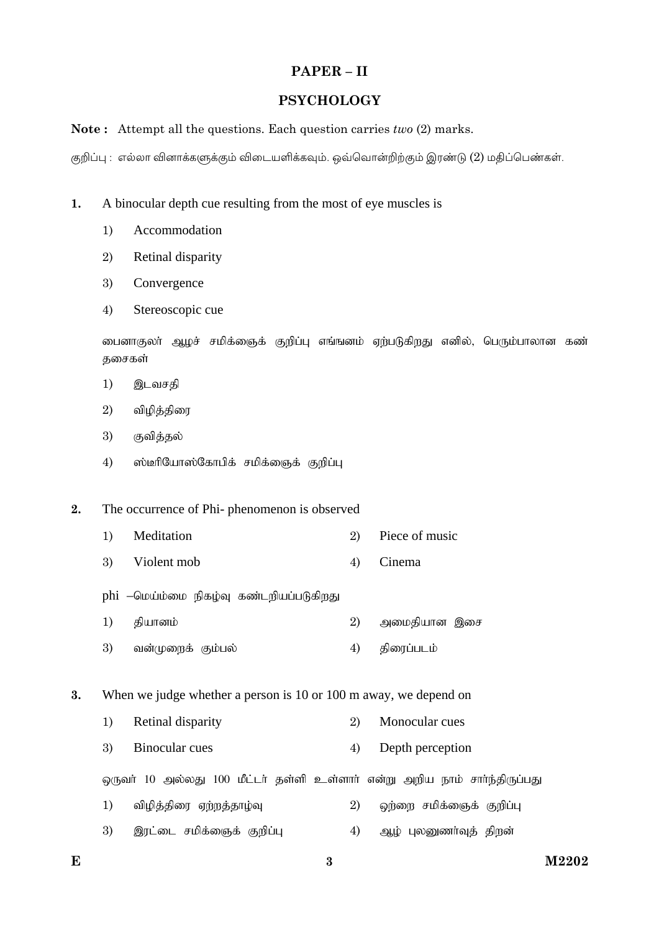# PAPER-II

## **PSYCHOLOGY**

### **Note:** Attempt all the questions. Each question carries  $two(2)$  marks.

குறிப்பு : எல்லா வினாக்களுக்கும் விடையளிக்கவும். ஒவ்வொன்றிற்கும் இரண்டு (2) மதிப்பெண்கள்.

#### $\overline{1}$ . A binocular depth cue resulting from the most of eye muscles is

- $1)$ Accommodation
- 2) Retinal disparity
- 3) Convergence
- Stereoscopic cue 4)

டைனாகுலா் ஆழச் சமிக்ஞைக் குறிப்பு எங்ஙனம் ஏற்படுகிறது எனில், பெரும்பாலான கண் குசைகள்

- இடவசதி  $1)$
- $2)$ விழித்திரை
- 3) குவித்தல்
- $4)$ ஸ்டீரியோஸ்கோபிக் சமிக்ஞைக் குறிப்பு

#### $2.$ The occurrence of Phi- phenomenon is observed

- $1)$ Meditation Piece of music 2)
- 3) Violent mob  $4)$ Cinema
- phi –மெய்ம்மை நிகழ்வு கண்டறியப்படுகிறது
- $1)$ தியானம் 2) அமைதியான இசை
- 3)  $4)$ திரைப்படம் வன்முறைக் கும்பல்
- 3. When we judge whether a person is 10 or 100 m away, we depend on
	- $1)$ Retinal disparity  $\overline{2}$ Monocular cues
	- $\mathbf{3}$ Binocular cues  $4)$ Depth perception

ஒருவா் 10 அல்லது 100 மீட்டா் தள்ளி உள்ளாா் என்று அறிய நாம் சாா்ந்திருப்பது

- $1)$ விழித்திரை ஏற்றத்தாழ்வு 2) ஒற்றை சமிக்ஞைக் குறிப்பு
- 3) இரட்டை சமிக்ஞைக் குறிப்பு  $4)$ ஆழ் புலனுணர்வுத் திறன்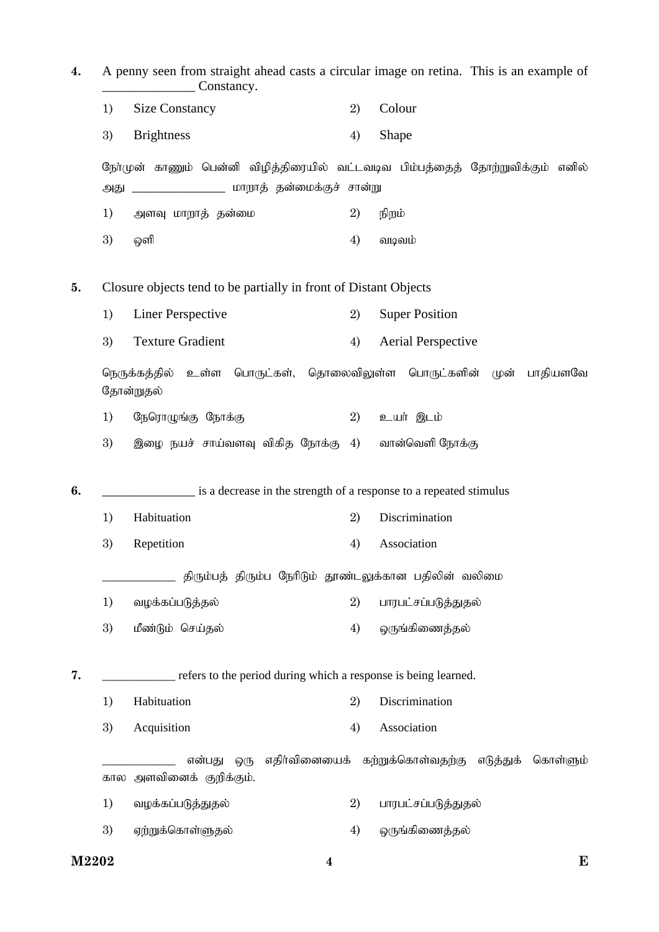**4.** A penny seen from straight ahead casts a circular image on retina. This is an example of Constancy. 1) Size Constancy 2) Colour 3) Brightness 4) Shape நேர்முன் காணும் பென்னி விமிக்கிரையில் வட்டவடிவ பிம்பக்கைக் கோர்றுவிக்கும் எனில் அது \_\_\_\_\_\_\_\_\_\_\_\_\_\_\_\_\_\_ மாறாத் தன்மைக்குச் சான்று 1) அளவு மாறாத் தன்மை  $1$   $2)$  நிறம்  $3)$  @offl  $4)$  only only  $1$ **5.** Closure objects tend to be partially in front of Distant Objects 1) Liner Perspective 2) Super Position 3) Texture Gradient 4) Aerial Perspective நெருக்கத்தில் உள்ள பொருட்கள், தொலைவிலுள்ள பொருட்களின் முன் பாதியளவே தோன்றுதல் 1) நேரொழுங்கு நோக்கு  $(2)$  உயர் இடம் 3) இழை நயச் சாய்வளவு விகித நோக்கு  $4$ ) வான்வெளி நோக்கு **6. b** is a decrease in the strength of a response to a repeated stimulus 1) Habituation 2) Discrimination 3) Repetition 4) Association திரும்பத் திரும்ப நேரிடும் தூண்டலுக்கான பதிலின் வலிமை 1) tof;fg;gLj;jy; 2) ghugl;rg;gLj;Jjy; 3) மீண்டும் செய்தல்  $\begin{array}{ccc} 3 & 4 & \partial \end{array}$  ஒருங்கிணைத்தல் **7.** \_\_\_\_\_\_\_\_\_\_\_\_ refers to the period during which a response is being learned. 1) Habituation 2) Discrimination 3) Acquisition 4) Association என்பது ஒரு எதிர்வினையைக் கற்றுக்கொள்வதற்கு எடுத்துக் கொள்ளும் கால அளவினைக் குறிக்கும். 1) tof;fg;gLj;Jjy; 2) ghugl;rg;gLj;Jjy; 3) Vw;Wf;nfhs;Sjy; 4) xUq;fpizj;jy;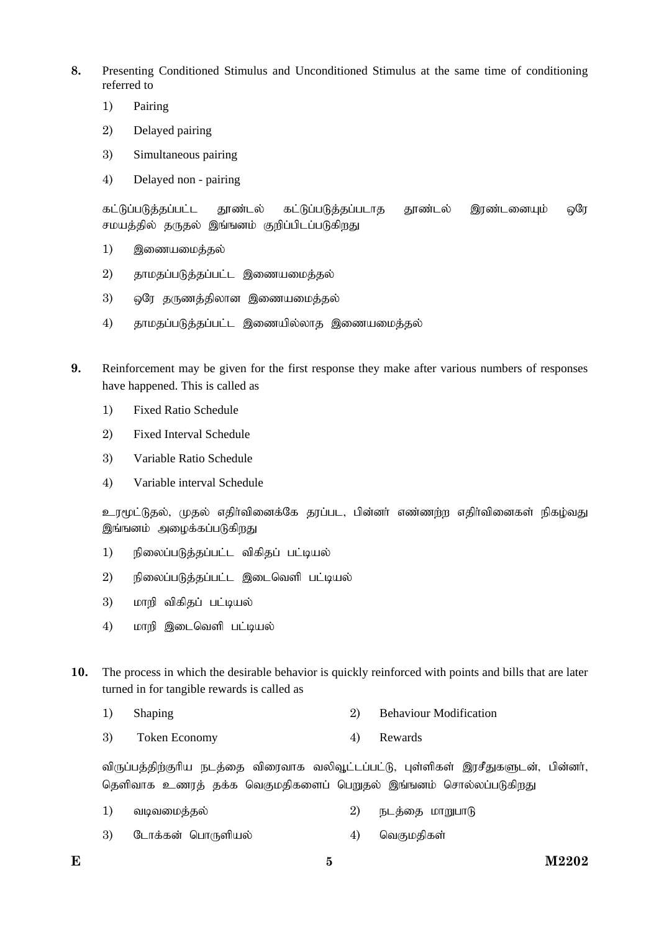- **8.** Presenting Conditioned Stimulus and Unconditioned Stimulus at the same time of conditioning referred to
	- 1) Pairing
	- 2) Delayed pairing
	- 3) Simultaneous pairing
	- 4) Delayed non pairing

கட்டுப்படுத்தப்பட்ட தூண்டல் கட்டுப்படுத்தப்படாத தூண்டல் இரண்டனையும் ஒரே சமயத்தில் தருதல் இங்ஙனம் குறிப்பிடப்படுகிறது

- 1) இணையமைத்தல்
- 2) தாமதப்படுத்தப்பட்ட இணையமைத்தல்
- 3) … ஒரே தருணத்திலான இணையமைத்தல்
- $4$ ) தாமதப்படுத்தப்பட்ட இணையில்லாத இணையமைத்தல்
- **9.** Reinforcement may be given for the first response they make after various numbers of responses have happened. This is called as
	- 1) Fixed Ratio Schedule
	- 2) Fixed Interval Schedule
	- 3) Variable Ratio Schedule
	- 4) Variable interval Schedule

உரமூட்டுதல், முதல் எதிர்வினைக்கே தரப்பட, பின்னர் எண்ணற்ற எதிர்வினைகள் நிகழ்வது இங்ஙனம் அமைக்கப்படுகிறது

- 1) நிலைப்படுத்தப்பட்ட விகிதப் பட்டியல்
- $2$ ) คราดิจองมันเหิร์ รมันมี ๆ ติดอน ติดเจที มนั่นจนจ่า
- 3) மாறி விகிகப் பட்டியல்
- 4) மாறி இடைவெளி பட்டியல்
- **10.** The process in which the desirable behavior is quickly reinforced with points and bills that are later turned in for tangible rewards is called as
	- 1) Shaping 2) Behaviour Modification
	- 3) Token Economy 4) Rewards

விருப்பத்திற்குரிய நடத்தை விரைவாக வலிவூட்டப்பட்டு, புள்ளிகள் இரசீதுகளுடன், பின்னர், தெளிவாக உணரத் தக்க வெகுமதிகளைப் பெறுதல் இங்ஙனம் சொல்லப்படுகிறது

- 1) வடிவமைத்தல்  $\hspace{1.6cm}$  2) நடத்தை மாறுபாடு
- 3) Nlhf;fd; nghUspay; 4) ntFkjpfs;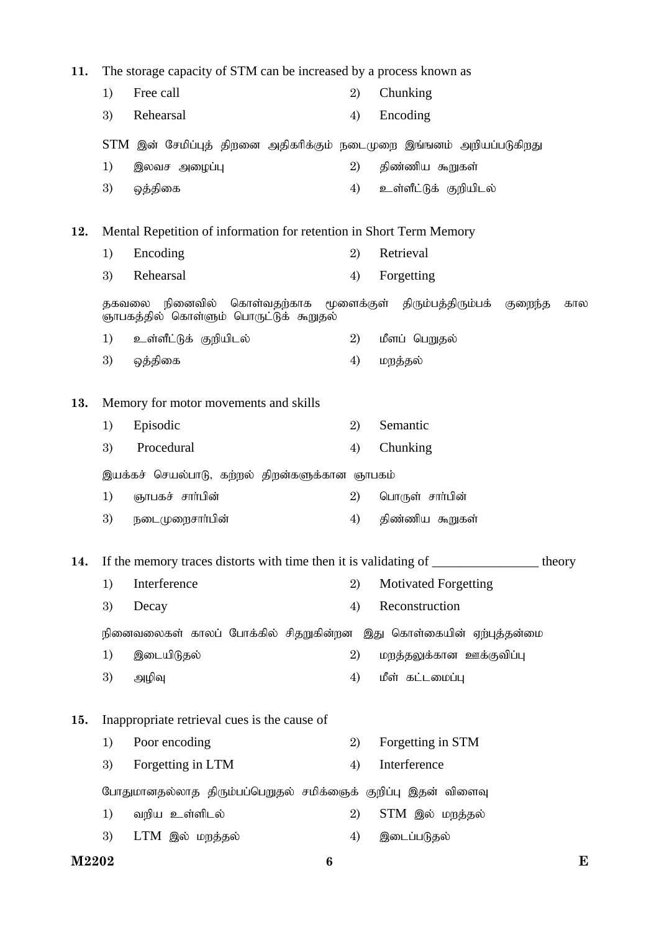| 11. | The storage capacity of STM can be increased by a process known as                                                         |                                                                   |    |                             |  |  |  |
|-----|----------------------------------------------------------------------------------------------------------------------------|-------------------------------------------------------------------|----|-----------------------------|--|--|--|
|     | 1)                                                                                                                         | Free call                                                         | 2) | Chunking                    |  |  |  |
|     | 3)                                                                                                                         | Rehearsal                                                         | 4) | Encoding                    |  |  |  |
|     | STM இன் சேமிப்புத் திறனை அதிகரிக்கும் நடைமுறை இங்ஙனம் அறியப்படுகிறது                                                       |                                                                   |    |                             |  |  |  |
|     | 1)                                                                                                                         | இலவச அழைப்பு                                                      | 2) | திண்ணிய கூறுகள்             |  |  |  |
|     | 3)                                                                                                                         | ஒத்திகை                                                           | 4) | உள்ளீட்டுக் குறியிடல்       |  |  |  |
| 12. | Mental Repetition of information for retention in Short Term Memory                                                        |                                                                   |    |                             |  |  |  |
|     | 1)                                                                                                                         | Encoding                                                          | 2) | Retrieval                   |  |  |  |
|     | 3)                                                                                                                         | Rehearsal                                                         | 4) | Forgetting                  |  |  |  |
|     | தகவலை நினைவில்<br>கொள்வதற்காக<br>மூளைக்குள் திரும்பத்திரும்பக்<br>குறைந்த<br>கால<br>ஞாபகத்தில் கொள்ளும் பொருட்டுக் கூறுதல் |                                                                   |    |                             |  |  |  |
|     | 1)                                                                                                                         | உள்ளீட்டுக் குறியிடல்                                             | 2) | மீளப் பெறுதல்               |  |  |  |
|     | 3)                                                                                                                         | ஒத்திகை                                                           | 4) | மறத்தல்                     |  |  |  |
| 13. | Memory for motor movements and skills                                                                                      |                                                                   |    |                             |  |  |  |
|     | 1)                                                                                                                         | Episodic                                                          | 2) | Semantic                    |  |  |  |
|     | 3)                                                                                                                         | Procedural                                                        | 4) | Chunking                    |  |  |  |
|     | இயக்கச் செயல்பாடு, கற்றல் திறன்களுக்கான ஞாபகம்                                                                             |                                                                   |    |                             |  |  |  |
|     | 1)                                                                                                                         | ஞாபகச் சார்பின்                                                   | 2) | பொருள் சாா்பின்             |  |  |  |
|     | 3)                                                                                                                         | நடைமுறைசாா்பின்                                                   | 4) | திண்ணிய கூறுகள்             |  |  |  |
| 14. | If the memory traces distorts with time then it is validating of _______________<br>theory                                 |                                                                   |    |                             |  |  |  |
|     | 1)                                                                                                                         | Interference                                                      | 2) | <b>Motivated Forgetting</b> |  |  |  |
|     | 3)                                                                                                                         | Decay                                                             | 4) | Reconstruction              |  |  |  |
|     |                                                                                                                            | நினைவலைகள் காலப் போக்கில் சிதறுகின்றன இது கொள்கையின் ஏற்புத்தன்மை |    |                             |  |  |  |
|     | 1)                                                                                                                         | இடையிடுதல்                                                        | 2) | மறத்தலுக்கான ஊக்குவிப்பு    |  |  |  |
|     | 3)                                                                                                                         | அழிவு                                                             | 4) | மீள் கட்டமைப்பு             |  |  |  |
| 15. | Inappropriate retrieval cues is the cause of                                                                               |                                                                   |    |                             |  |  |  |
|     | 1)                                                                                                                         | Poor encoding                                                     | 2) | Forgetting in STM           |  |  |  |
|     | 3)                                                                                                                         | Forgetting in LTM                                                 | 4) | Interference                |  |  |  |
|     | போதுமானதல்லாத திரும்பப்பெறுதல் சமிக்ஞைக் குறிப்பு இதன் விளைவு                                                              |                                                                   |    |                             |  |  |  |
|     | 1)                                                                                                                         | வறிய உள்ளிடல்                                                     | 2) | STM இல் மறத்தல்             |  |  |  |
|     | 3)                                                                                                                         | LTM இல் மறத்தல்                                                   | 4) | இடைப்படுதல்                 |  |  |  |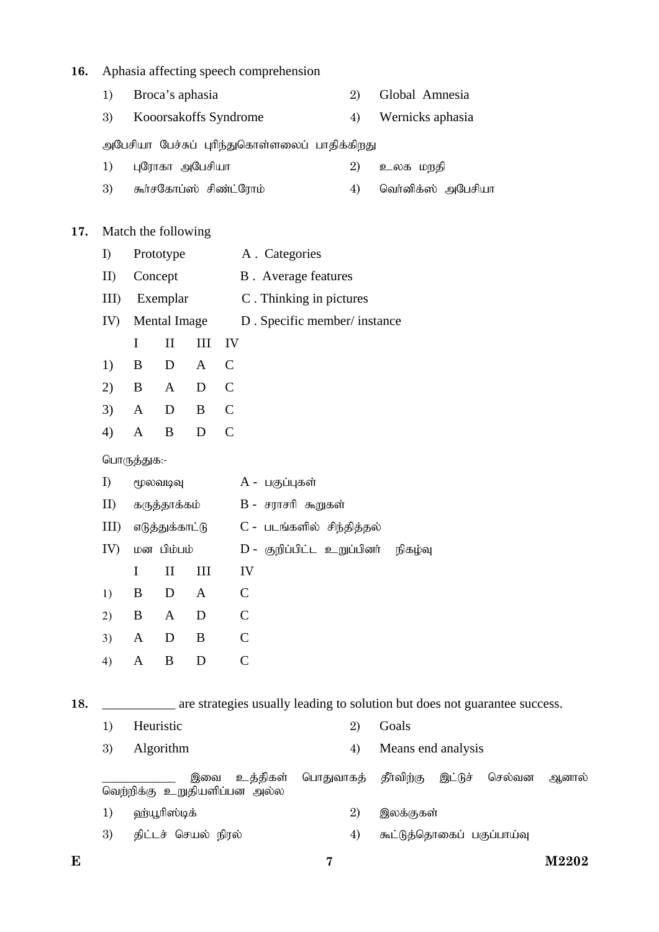### **16.** Aphasia affecting speech comprehension

- 1) Broca's aphasia 2) Global Amnesia
- 3) Kooorsakoffs Syndrome 4) Wernicks aphasia

அபேசியா பேச்சுப் புரிந்துகொள்ளலைப் பாதிக்கிறது

- 1) GNuhfh mNgrpah 2) cyf kwjp
- 3) கூர்சகோப்ஸ் சிண்ட்ரோம் 4) வெர்னிக்ஸ் அபேசியா

### **17.** Match the following

- I) Prototype A . Categories
- II) Concept B . Average features
- III) Exemplar C . Thinking in pictures
- IV) Mental Image D . Specific member/ instance
- I II III IV
- 1) B D A C
- 2) B A D C
- 3) A D B C 4) A B D C

# பொருத்துக:-

| I)         | மூலவடிவு        |              |              | A - பகுப்புகள்                     |  |  |  |  |  |
|------------|-----------------|--------------|--------------|------------------------------------|--|--|--|--|--|
| II)        | கருத்தாக்கம்    |              |              | B - சராசரி கூறுகள்                 |  |  |  |  |  |
| $\rm{III}$ | எடுத்துக்காட்டு |              |              | C - படங்களில் சிந்தித்தல்          |  |  |  |  |  |
| IV)        | மன பிம்பம்      |              |              | D - குறிப்பிட்ட உறுப்பினர் நிகழ்வு |  |  |  |  |  |
|            | T               | $\mathbf{H}$ | Ш            | IV                                 |  |  |  |  |  |
| 1)         | B               | D            | $\mathsf{A}$ | C                                  |  |  |  |  |  |
| 2)         | B               | A            | D            | C                                  |  |  |  |  |  |
| 3)         | A               | D            | B            | C                                  |  |  |  |  |  |
| 4)         | A               | B            | D            | C                                  |  |  |  |  |  |

18. **\_\_\_\_\_\_\_\_\_** are strategies usually leading to solution but does not guarantee success.

| 1)                                              | Heuristic                 | 2) | Goals                                        |  |  |  |
|-------------------------------------------------|---------------------------|----|----------------------------------------------|--|--|--|
| 3)                                              | <b>Algorithm</b>          |    | Means end analysis                           |  |  |  |
| உத்திகள்<br>இவை<br>வெற்றிக்கு உறுதியளிப்பன அல்ல |                           |    | பொதுவாகத் தீர்விற்கு இட்டுச் செல்வன<br>அனால் |  |  |  |
| 1)                                              | 2)<br>ஹ்யூரிஸ்டிக்        |    | இலக்குகள்                                    |  |  |  |
| 3)                                              | திட்டச் செயல் நிரல்<br>4) |    | கூட்டுத்தொகைப் பகுப்பாய்வு                   |  |  |  |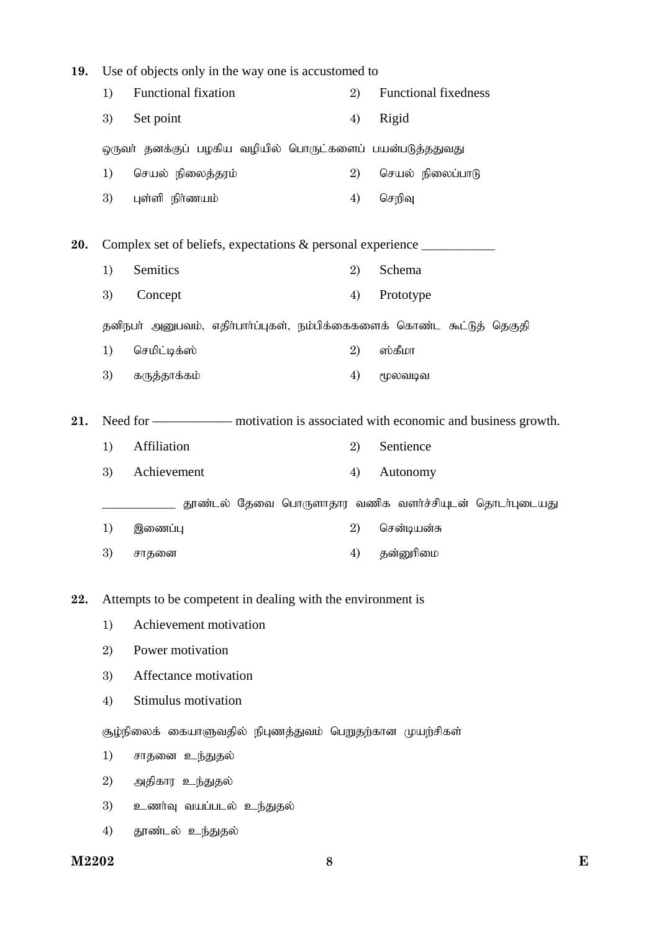| 19. | Use of objects only in the way one is accustomed to                                          |                          |    |                             |  |  |  |
|-----|----------------------------------------------------------------------------------------------|--------------------------|----|-----------------------------|--|--|--|
|     | 1)                                                                                           | Functional fixation      | 2) | <b>Functional fixedness</b> |  |  |  |
|     | Set point<br>3)                                                                              |                          | 4) | Rigid                       |  |  |  |
|     | ஒருவா் தனக்குப் பழகிய வழியில் பொருட்களைப் பயன்படுத்ததுவது                                    |                          |    |                             |  |  |  |
|     | 1)                                                                                           | செயல் நிலைத்தரம்         | 2) | செயல் நிலைப்பாடு            |  |  |  |
|     | 3)                                                                                           | புள்ளி நிர்ணயம்          | 4) | செறிவு                      |  |  |  |
| 20. | Complex set of beliefs, expectations & personal experience                                   |                          |    |                             |  |  |  |
|     | 1)                                                                                           | Semitics                 | 2) | Schema                      |  |  |  |
|     | 3)                                                                                           | Concept                  | 4) | Prototype                   |  |  |  |
|     | தனிநபா் அனுபவம், எதிா்பாா்ப்புகள், நம்பிக்கைகளைக் கொண்ட கூட்டுத் தெகுதி                      |                          |    |                             |  |  |  |
|     | 1)                                                                                           | செமிட்டிக்ஸ்             | 2) | ஸ்கீமா                      |  |  |  |
|     | 3)                                                                                           | கருத்தாக்கம்             | 4) | மூலவடிவ                     |  |  |  |
| 21. |                                                                                              |                          |    |                             |  |  |  |
|     | Affiliation<br>Sentience<br>1)<br>2)                                                         |                          |    |                             |  |  |  |
|     | 3)                                                                                           | Achievement              | 4) | Autonomy                    |  |  |  |
|     |                                                                                              |                          |    |                             |  |  |  |
|     | தூண்டல் தேவை பொருளாதார வணிக வளர்ச்சியுடன் தொடர்புடையது<br>2)<br>1)<br>இணைப்பு<br>சென்டியன்சு |                          |    |                             |  |  |  |
|     | 3)                                                                                           | சாதனை                    | 4) | தன்னுரிமை                   |  |  |  |
|     |                                                                                              |                          |    |                             |  |  |  |
| 22. | Attempts to be competent in dealing with the environment is                                  |                          |    |                             |  |  |  |
|     | 1)                                                                                           | Achievement motivation   |    |                             |  |  |  |
|     | 2)                                                                                           | Power motivation         |    |                             |  |  |  |
|     | 3)                                                                                           | Affectance motivation    |    |                             |  |  |  |
|     | 4)                                                                                           | Stimulus motivation      |    |                             |  |  |  |
|     | சூழ்நிலைக் கையாளுவதில் நிபுணத்துவம் பெறுதற்கான முயற்சிகள்                                    |                          |    |                             |  |  |  |
|     | 1)                                                                                           | சாதனை உந்துதல்           |    |                             |  |  |  |
|     | 2)                                                                                           | அதிகார உந்துதல்          |    |                             |  |  |  |
|     | 3)                                                                                           | உணர்வு வயப்படல் உந்துதல் |    |                             |  |  |  |
|     | 4)                                                                                           | தூண்டல் உந்துதல்         |    |                             |  |  |  |

M2202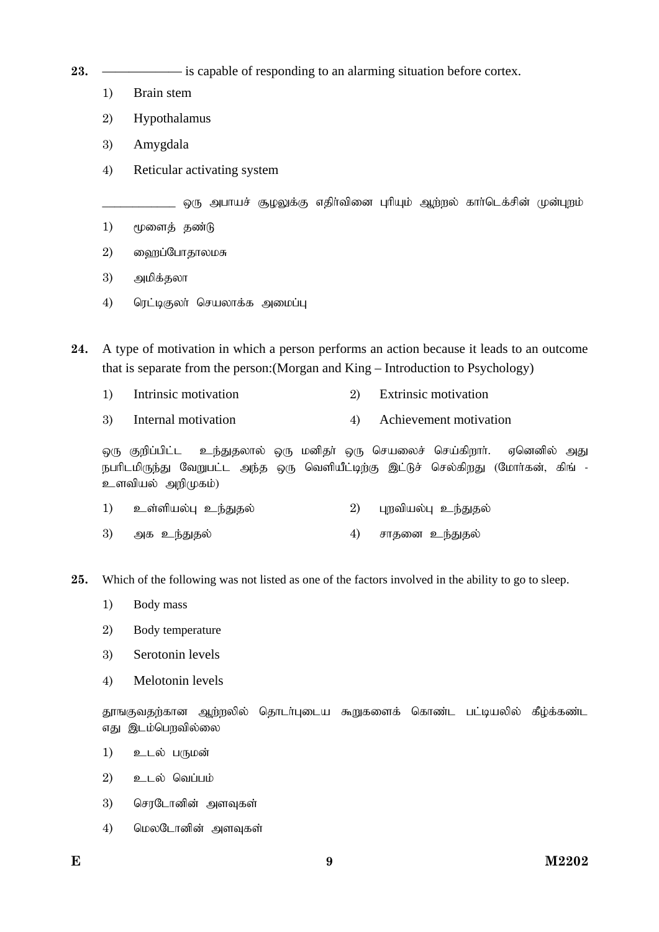**23.** —————— is capable of responding to an alarming situation before cortex.

- 1) Brain stem
- 2) Hypothalamus
- 3) Amygdala
- 4) Reticular activating system

ஒரு அபாயச் சூழலுக்கு எதிர்வினை புரியும் ஆற்றல் கார்டெக்சின் முன்புறம்

- $1)$   $\epsilon$ முளைத் தண்டு
- 2) நைப்போதாலமசு
- 3) அமிக்தலா
- 4) ரெட்டிகுலா் செயலாக்க அமைப்பு

**24.** A type of motivation in which a person performs an action because it leads to an outcome that is separate from the person:(Morgan and King – Introduction to Psychology)

- 1) Intrinsic motivation 2) Extrinsic motivation
- 3) Internal motivation 4) Achievement motivation

ஒரு குறிப்பிட்ட உந்துதலால் ஒரு மனிதா் ஒரு செயலைச் செய்கிறாா். ஏனெனில் அது நபரிடமிருந்து வேறுபட்ட அந்த ஒரு வெளியீட்டிற்கு இட்டுச் செல்கிறது (மோர்கன், கிங் -உளவியல் அறிமுகம்)

- 1) cs;spay;G ce;Jjy; 2) Gwtpay;G ce;Jjy;
- 3) அக உந்துதல் 4) சாதனை உந்துதல்
- **25.** Which of the following was not listed as one of the factors involved in the ability to go to sleep.
	- 1) Body mass
	- 2) Body temperature
	- 3) Serotonin levels
	- 4) Melotonin levels

தூஙகுவதற்கான ஆற்றலில் தொடர்புடைய கூறுகளைக் கொண்ட பட்டியலில் கீழ்க்கண்ட எது இடம்பெறவில்லை

- 1) உடல் பருமன்
- $2)$  உடல் வெப்பம்
- $3)$  செரடோனின் அளவுகள்
- 4) மெலடோனின் அளவுகள்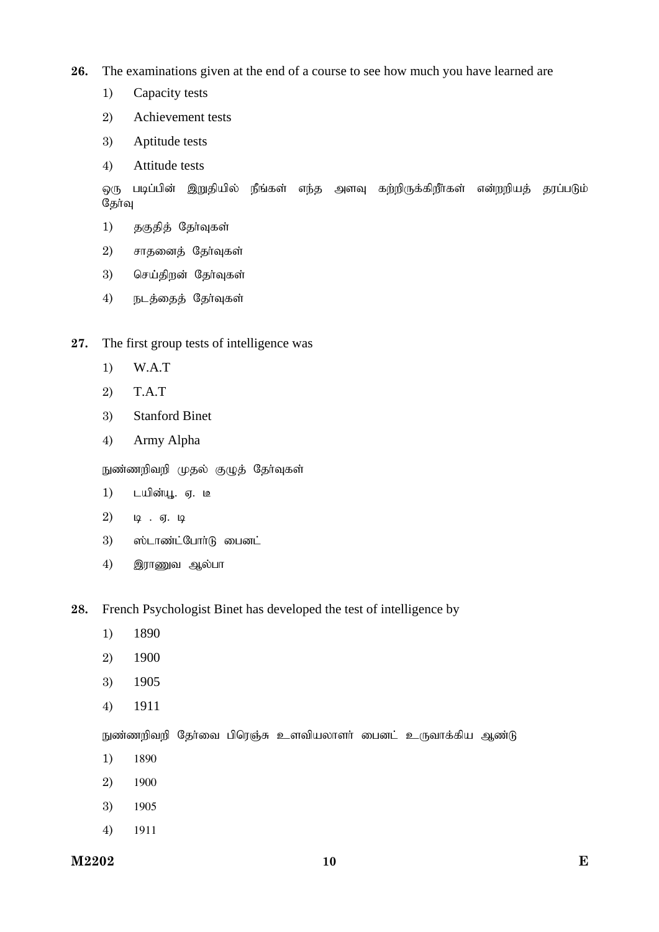**26.** The examinations given at the end of a course to see how much you have learned are

- 1) Capacity tests
- 2) Achievement tests
- 3) Aptitude tests
- 4) Attitude tests

ஒரு படிப்பின் இறுதியில் நீங்கள் எந்த அளவு கற்றிருக்கிறீர்கள் என்றறியத் தரப்படும் தேர்வு

- 1) தகுதித் தேர்வுகள்
- $2)$  சாதனைத் தேர்வுகள்
- 3) செய்திறன் தேர்வுகள்
- 4) நடத்தைத் தேர்வுகள்
- **27.** The first group tests of intelligence was
	- 1) W.A.T
	- 2) T.A.T
	- 3) Stanford Binet
	- 4) Army Alpha

நுண்ணறிவறி முதல் குழுத் தேர்வுகள்

- 1) டயின்யூ. ஏ. <u>ட</u>ீ
- 2)  $\mu$  .  $\sigma$ .  $\mu$
- $3)$   $\omega$ ம்டாண்ட்போர்டு பைனட்
- $4$ ) இராணுவ ஆல்பா
- **28.** French Psychologist Binet has developed the test of intelligence by
	- 1) 1890
	- 2) 1900
	- 3) 1905
	- 4) 1911

நுண்ணறிவறி தேர்வை பிரெஞ்சு உளவியலாளர் பைனட் உருவாக்கிய ஆண்டு

- 1) 1890
- 2) 1900
- 3) 1905
- 4) 1911

**M2202 E 10**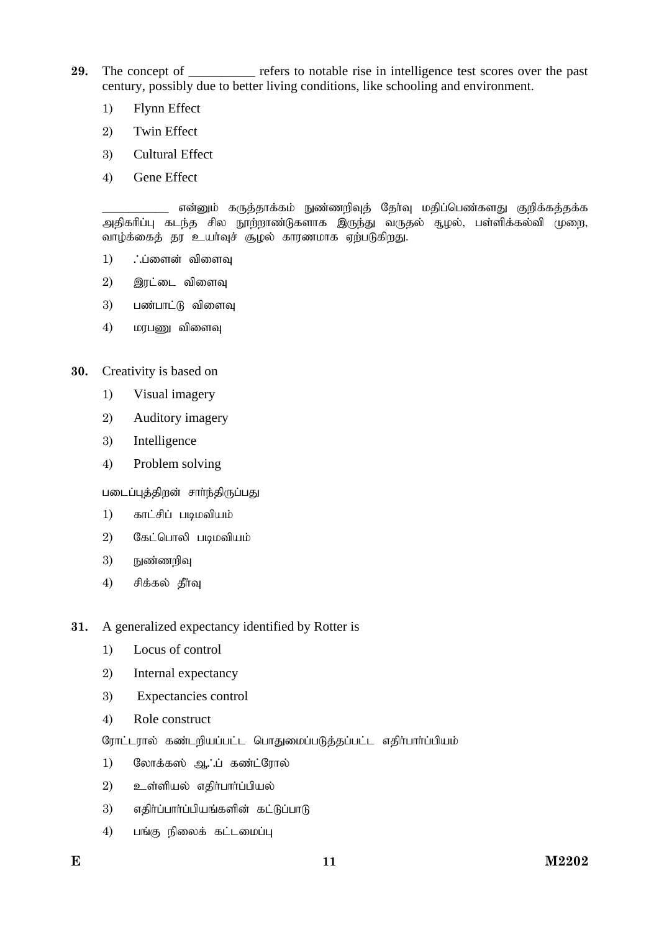- **29.** The concept of \_\_\_\_\_\_\_\_\_\_ refers to notable rise in intelligence test scores over the past century, possibly due to better living conditions, like schooling and environment.
	- 1) Flynn Effect
	- 2) Twin Effect
	- 3) Cultural Effect
	- 4) Gene Effect

என்னும் கருத்தாக்கம் நுண்ணறிவுத் தேர்வு மதிப்பெண்களது குறிக்கத்தக்க அதிகரிப்பு கடந்த சில நூற்றாண்டுகளாக இருந்து வருதல் சூழல், பள்ளிக்கல்வி முறை, வாழ்க்கைத் தர உயர்வுச் சூழல் காரணமாக ஏற்படுகிறது.

- $1)$   $\therefore$ ப்ளைன் விளைவு
- 2) இரட்டை விளைவு
- 3) பண்பாட்டு விளைவு
- $4)$   $\mu$ puga  $\mu$  to  $\mu$

## **30.** Creativity is based on

- 1) Visual imagery
- 2) Auditory imagery
- 3) Intelligence
- 4) Problem solving

படைப்புத்திறன் சார்ந்திருப்பது

- $1)$  காட்சிப் படிமவியம்
- $2)$  கேட்பொலி படிமவியம்
- $3)$  நுண்ணறிவு
- $4)$  சிக்கல் தீர்வு
- **31.** A generalized expectancy identified by Rotter is
	- 1) Locus of control
	- 2) Internal expectancy
	- 3) Expectancies control
	- 4) Role construct
	- ரோட்டரால் கண்டறியப்பட்ட பொதுமைப்படுத்தப்பட்ட எதிர்பார்ப்பியம்
	- 1) லோக்கஸ் ஆ∴ப் கண்ட்ரோல்
	- $2)$  உள்ளியல் எதிர்பார்ப்பியல்
	- 3) எதிர்ப்பார்ப்பியங்களின் கட்டுப்பாடு
	- $4)$  பங்கு நிலைக் கட்டமைப்பு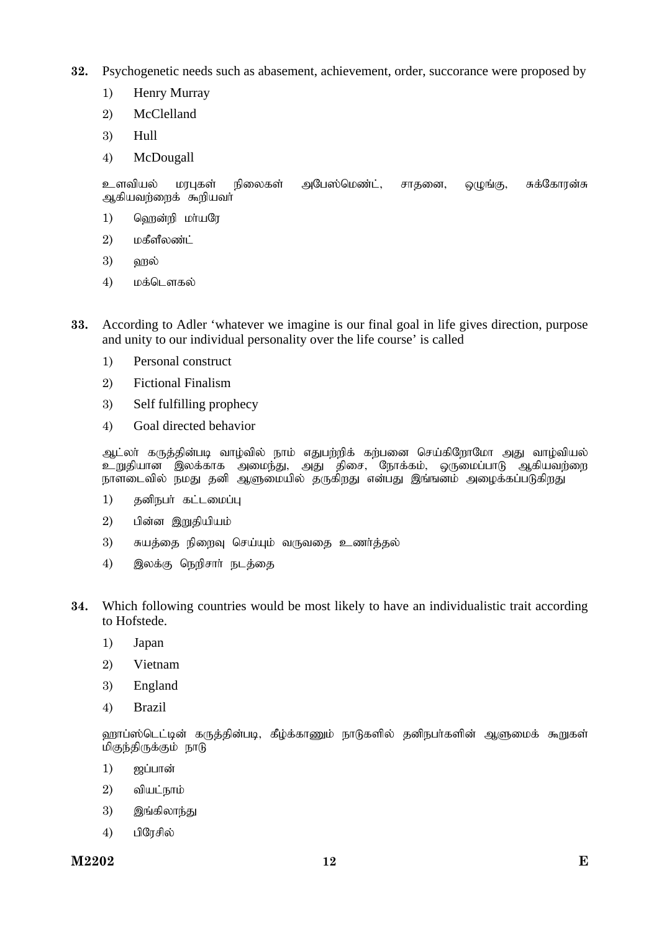**32.** Psychogenetic needs such as abasement, achievement, order, succorance were proposed by

- 1) Henry Murray
- 2) McClelland
- 3) Hull
- 4) McDougall

உளவியல் மரபுகள் நிலைகள் அபேஸ்மெண்ட், சாதனை, ஒழுங்கு, சுக்கோரன்சு ஆகியவற்றைக் கூறியவர்

- $1)$  வெறன்றி மா்யரே
- $2)$  மகீளீலண்ட்
- $3)$   $\omega_{\rm I}$
- 4) மக்டௌகல்
- **33.** According to Adler 'whatever we imagine is our final goal in life gives direction, purpose and unity to our individual personality over the life course' is called
	- 1) Personal construct
	- 2) Fictional Finalism
	- 3) Self fulfilling prophecy
	- 4) Goal directed behavior

ஆட்லா் கருத்தின்படி வாழ்வில் நாம் எதுபற்றிக் கற்பனை செய்கிறோமோ அது வாழ்வியல் உறுதியான இலக்காக அமைந்து, அது திசை, நோக்கம், ஒருமைப்பாடு ஆகியவற்றை நாளடைவில் நமது தனி ஆளுமையில் தருகிறது என்பது இங்ஙனம் அழைக்கப்படுகிறது

- 1) தனிநபர் கட்டமைப்பு
- $2)$  பின்ன இறுதியியம்
- 3) சுயத்தை நிறைவு செய்யும் வருவதை உணர்த்தல்
- 4) இலக்கு நெறிசார் நடத்தை
- **34.** Which following countries would be most likely to have an individualistic trait according to Hofstede.
	- 1) Japan
	- 2) Vietnam
	- 3) England
	- 4) Brazil

ஹாப்ஸ்டெட்டின் கருத்தின்படி, கீழ்க்காணும் நாடுகளில் தனிநபர்களின் ஆளுமைக் கூறுகள் மிகுந்திருக்கும் நாடு

- $1)$  ஜப்பான்
- $2)$  வியட்நாம்
- 3) இங்கிலாந்து
- $4)$  பிரேசில்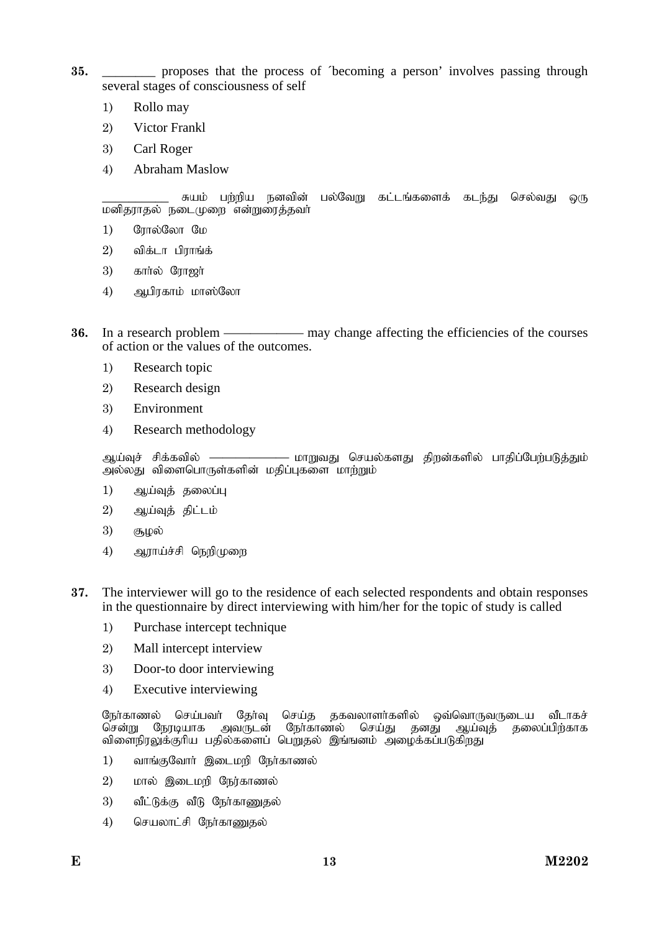- **35.** \_\_\_\_\_\_\_\_ proposes that the process of ´becoming a person' involves passing through several stages of consciousness of self
	- 1) Rollo may
	- 2) Victor Frankl
	- 3) Carl Roger
	- 4) Abraham Maslow

் சுயம் பற்றிய நனவின் பல்வேறு கட்டங்களைக் கடந்து செல்வது ஒரு மனிதராதல் நடைமுறை என்றுரைத்தவர்

- 1) போல்லோ மே
- $2)$  விக்டா பிாாங்க்
- $3)$  கார்ல் ரோஜர்
- $(4)$  அபிரகாம் மாஸ்லோ
- **36.** In a research problem —————— may change affecting the efficiencies of the courses of action or the values of the outcomes.
	- 1) Research topic
	- 2) Research design
	- 3) Environment
	- 4) Research methodology

ஆய்வுச் சிக்கவில் ——————— மாறுவது செயல்களது திறன்களில் பாதிப்பேற்படுத்தும் அல்லது விளைபொருள்களின் மதிப்புகளை மாற்றும்

- 1) ஆய்வுத் தலைப்பு
- $2$ ) ஆய்வுத் திட்டம்
- 3) சூழல்
- 4) ஆராய்ச்சி நெறிமுறை
- **37.** The interviewer will go to the residence of each selected respondents and obtain responses in the questionnaire by direct interviewing with him/her for the topic of study is called
	- 1) Purchase intercept technique
	- 2) Mall intercept interview
	- 3) Door-to door interviewing
	- 4) Executive interviewing

நேர்காணல் செய்பவர் தேர்வு செய்த தகவலாளர்களில் ஒவ்வொருவருடைய வீடாகச்<br>சென்று நேரடியாக அவருடன் நேர்காணல் செய்து தனது ஆய்வுத் தலைப்பிற்காக நோ்காணல் செய்து விளைநிரலுக்குரிய பதில்களைப் பெறுதல் இங்ஙனம் அழைக்கப்படுகிறது

- 1) வாங்குவோர் இடைமறி நேர்காணல்
- 2) மால் இடைமறி நேர்காணல்
- 3) வீட்டுக்கு வீடு நேர்காணுதல்
- 4) செயலாட்சி நேர்காணுதல்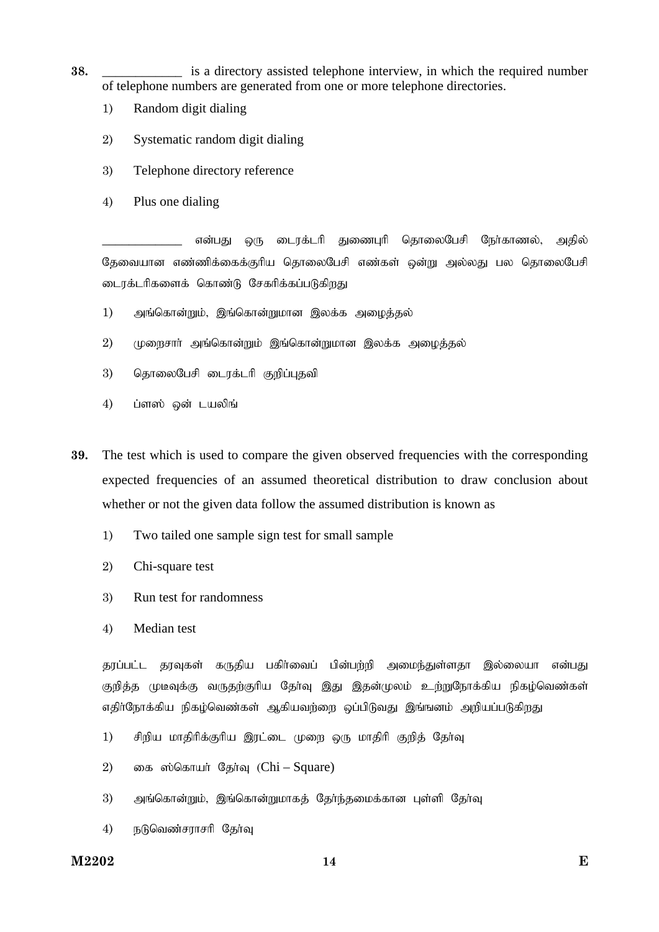- **38. a** is a directory assisted telephone interview, in which the required number of telephone numbers are generated from one or more telephone directories.
	- 1) Random digit dialing
	- 2) Systematic random digit dialing
	- 3) Telephone directory reference
	- 4) Plus one dialing

என்பது ஒரு டைரக்டரி துணைபுரி தொலைபேசி நேர்காணல், அதில் தேவையான எண்ணிக்கைக்குரிய தொலைபேசி எண்கள் ஒன்று அல்லது பல தொலைபேசி டைரக்டரிகளைக் கொண்டு சேகரிக்கப்படுகிறது

- $1)$  வுங்கொன்றும், இங்கொன்றுமான இலக்க அமைத்தல்
- $2$ ) (முறைசார் அங்கொன்றும் இங்கொன்றுமான இலக்க அழைத்தல்
- 3) தொலைபேசி டைரக்டரி குறிப்புதவி
- 4) ப்ளஸ் ஒன் டயலிங்
- **39.** The test which is used to compare the given observed frequencies with the corresponding expected frequencies of an assumed theoretical distribution to draw conclusion about whether or not the given data follow the assumed distribution is known as
	- 1) Two tailed one sample sign test for small sample
	- 2) Chi-square test
	- 3) Run test for randomness
	- 4) Median test

குரப்பட்ட கரவுகள் கருதிய பகிர்வைப் பின்பர்றி அமைந்துள்ளதா இல்லையா என்பது குறித்த முடீவுக்கு வருதற்குரிய தேர்வு இது இதன்முலம் உற்றுநோக்கிய நிகழ்வெண்கள் எதிர்நோக்கிய நிகழ்வெண்கள் ஆகியவற்றை ஒப்பிடுவது இங்ஙனம் அறியப்படுகிறது

- 1) சிறிய மாதிரிக்குரிய இரட்டை முறை ஒரு மாதிரி குறித் தேர்வு
- 2) எைக ஸ்கொயர் தேர்வு  $(Chi-Square)$
- 3) அங்கொன்றும், இங்கொன்றுமாகத் தேர்ந்தமைக்கான புள்ளி தேர்வு
- $4$ ) நடுவெண்சராசரி தேர்வு

#### **M2202 E 14**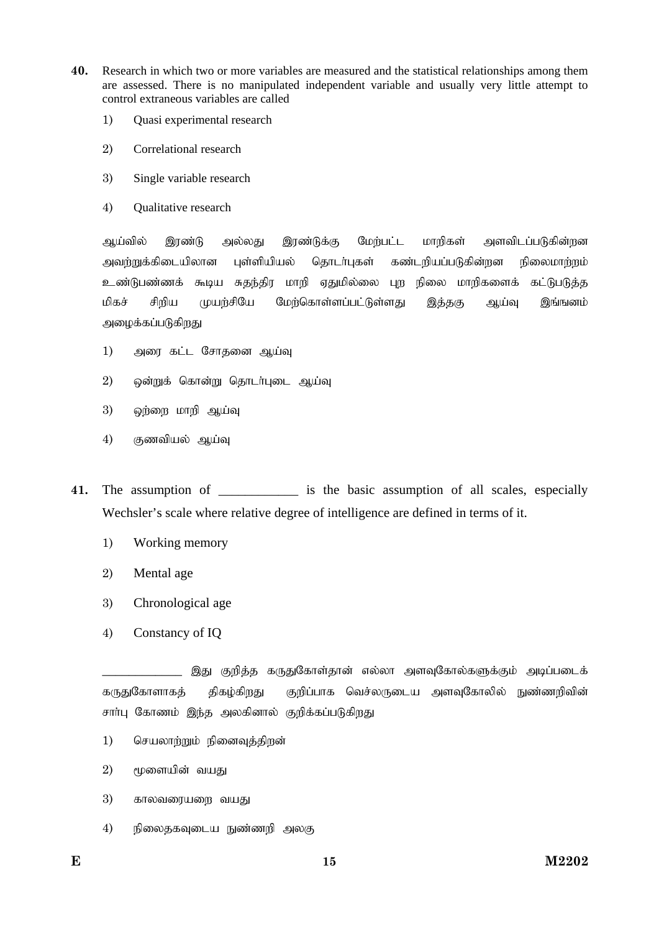- **40.** Research in which two or more variables are measured and the statistical relationships among them are assessed. There is no manipulated independent variable and usually very little attempt to control extraneous variables are called
	- 1) Quasi experimental research
	- 2) Correlational research
	- 3) Single variable research
	- 4) Qualitative research

ஆய்வில் இரண்டு அல்லது இரண்டுக்கு மேற்பட்ட மாறிகள் அளவிடப்படுகின்றன அவற்றுக்கிடையிலான புள்ளியியல் தொடர்புகள் கண்டறியப்படுகின்றன நிலைமாற்றம் உண்டுபண்ணக் கூடிய சுதந்திர மாறி ஏதுமில்லை புற நிலை மாறிகளைக் கட்டுபடுத்த மிகச் சிறிய முயற்சியே மேற்கொள்ளப்பட்டுள்ளது இத்தகு ஆய்வு இங்ஙனம் அழைக்கப்படுகிறது

- 1) அரை கட்ட சோதனை ஆய்வு
- $2$ ) ஒன்றுக் கொன்று தொடர்புடை ஆய்வு
- $3)$  ஒற்றை மாறி ஆய்வு
- 4) குணவியல் ஆய்வு
- **41.** The assumption of \_\_\_\_\_\_\_\_\_\_\_\_ is the basic assumption of all scales, especially Wechsler's scale where relative degree of intelligence are defined in terms of it.
	- 1) Working memory
	- 2) Mental age
	- 3) Chronological age
	- 4) Constancy of IQ

இது குறித்த கருதுகோள்தான் எல்லா அளவுகோல்களுக்கும் அடிப்படைக் கருதுகோளாகத் திகழ்கிறது குறிப்பாக வெச்லருடைய அளவுகோலில் நுண்ணறிவின் சாா்பு கோணம் இந்த அலகினால் குறிக்கப்படுகிறது

- 1) செயலாற்றும் நினைவுத்திறன்
- $2)$  மூளையின் வயகு
- $3$ )  $5\pi$ லவரையறை வயது
- $4$ ) நிலைதகவுடைய நுண்ணறி அலகு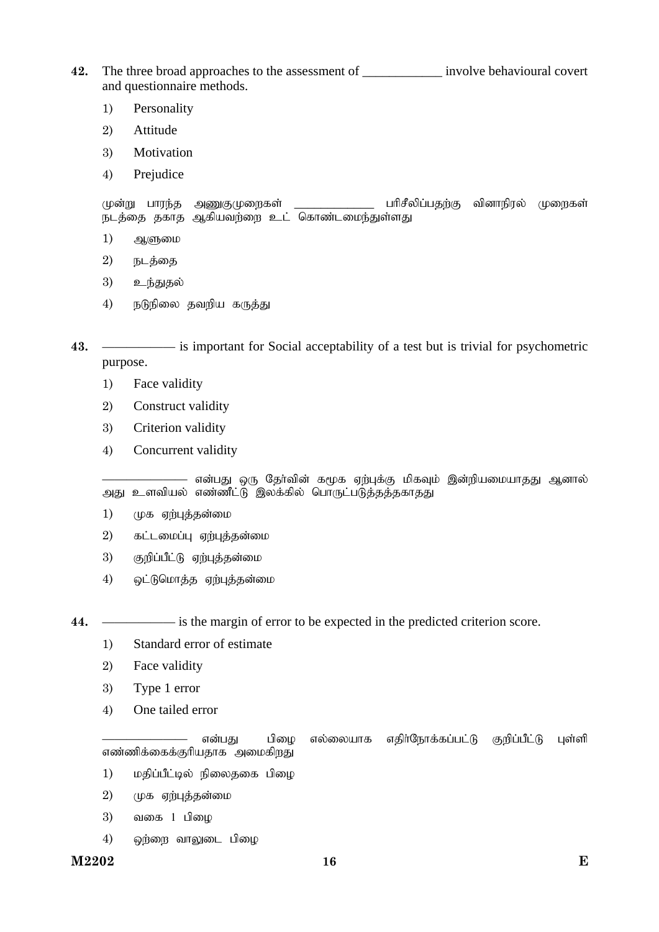**42.** The three broad approaches to the assessment of \_\_\_\_\_\_\_\_\_\_\_\_ involve behavioural covert and questionnaire methods.

- 1) Personality
- 2) Attitude
- 3) Motivation
- 4) Prejudice

முன்று பாரந்த அணுகுமுறைகள் \_\_\_\_\_\_\_\_\_\_\_\_\_\_\_ பரிசீலிப்பதற்கு வினாநிரல் முறைகள் நடத்தை தகாத ஆகியவற்றை உட் கொண்டமைந்துள்ளது

- $1)$   $\mathfrak{R}$ (ளுமை
- $2)$  நடத்தை
- 3) உந்துதல்
- 4) நடுநிலை தவறிய கருத்து
- **43.** —————— is important for Social acceptability of a test but is trivial for psychometric purpose.
	- 1) Face validity
	- 2) Construct validity
	- 3) Criterion validity
	- 4) Concurrent validity

– என்பது ஒரு தேர்வின் கமூக ஏற்புக்கு மிகவும் இன்றியமையாதது ஆனால் அது உளவியல் எண்ணீட்டு இலக்கில் பொருட்படுத்தத்தகாதது

- 1) முக ஏற்புத்தன்மை
- $2)$  கட்டமைப்பு ஏற்புத்தன்மை
- 3) குறிப்பீட்டு ஏற்புத்தன்மை
- 4) ஒட்டுமொத்த ஏற்புத்தன்மை
- 

**44.** —————— is the margin of error to be expected in the predicted criterion score.

- 1) Standard error of estimate
- 2) Face validity
- 3) Type 1 error
- 4) One tailed error

| the contract of the contract of the contract of the contract of the contract of | என்பது |  | பிழை எல்லையாக எதிா்நோக்கப்பட்டு குறிப்பீட்டு புள்ளி |  |
|---------------------------------------------------------------------------------|--------|--|-----------------------------------------------------|--|
| எண்ணிக்கைக்குரியதாக அமைகிறது                                                    |        |  |                                                     |  |

- 1) மதிப்பீட்டில் நிலைதகை பிழை
- $2)$  (முக ஏற்புத்தன்மை
- $3)$  வகை  $1$  பிழை
- $4)$  ஒற்றை வாலுடை பிழை

**M2202 E 16**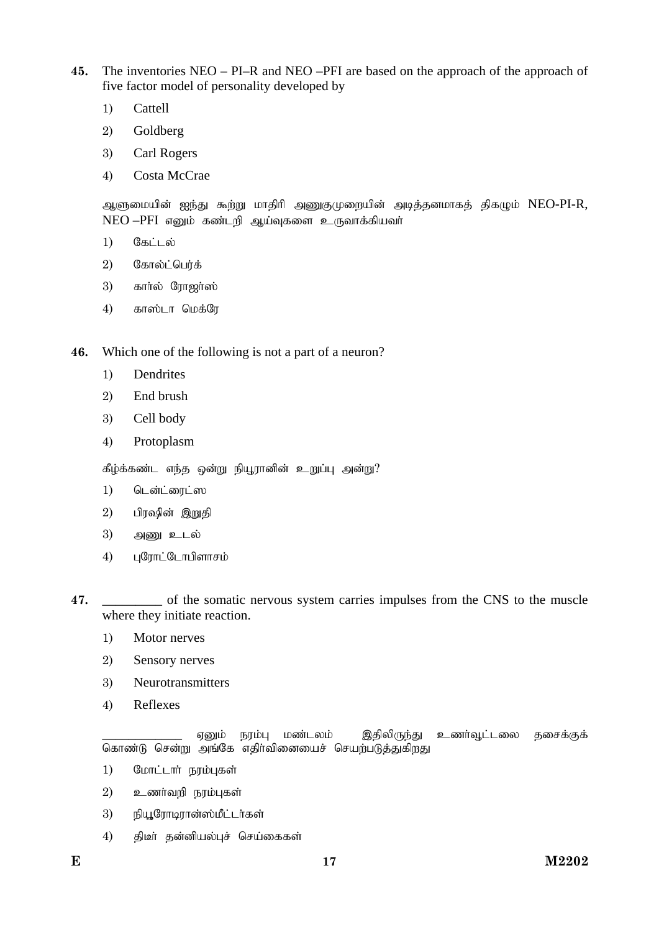- **45.** The inventories NEO PI–R and NEO –PFI are based on the approach of the approach of five factor model of personality developed by
	- 1) Cattell
	- 2) Goldberg
	- 3) Carl Rogers
	- 4) Costa McCrae

ஆளுமையின் ஐந்து கூற்று மாதிரி அணுகுமுறையின் அடித்தனமாகத் திகழும் NEO-PI-R,  $NEO$  – $PFI$  எனும் கண்டறி ஆய்வுகளை உருவாக்கியவா்

- $1)$   $05$ ட்டல்
- $2)$  கோல்ட்பெர்க்
- $3)$   $\sigma$ ளர்ல் ரோஜர்ஸ்
- 4) காஸ்டா மெக்ரே

**46.** Which one of the following is not a part of a neuron?

- 1) Dendrites
- 2) End brush
- 3) Cell body
- 4) Protoplasm

கீழ்க்கண்ட எந்த ஒன்று நியூரானின் உறுப்பு அன்று?

- 1) டென்ட்ரைட்ஸ
- $2)$  பிரஷின் இறுதி
- $3)$  அணு உடல்
- 4) புரோட்டோபிளாசம்

**47.** \_\_\_\_\_\_\_\_\_ of the somatic nervous system carries impulses from the CNS to the muscle where they initiate reaction.

- 1) Motor nerves
- 2) Sensory nerves
- 3) Neurotransmitters
- 4) Reflexes

ஏனும் நரம்பு மண்டலம் இதிலிருந்து உணர்வூட்டலை தசைக்குக் கொண்டு சென்று அங்கே எதிர்வினையைச் செயற்படுத்துகிறது

- $1)$  போட்டார் நரம்புகள்
- $2)$  உணர்வறி நரம்புகள்
- 3) நியூரோடிரான்ஸ்மீட்டர்கள்
- 4) திடீர் தன்னியல்புச் செய்கைகள்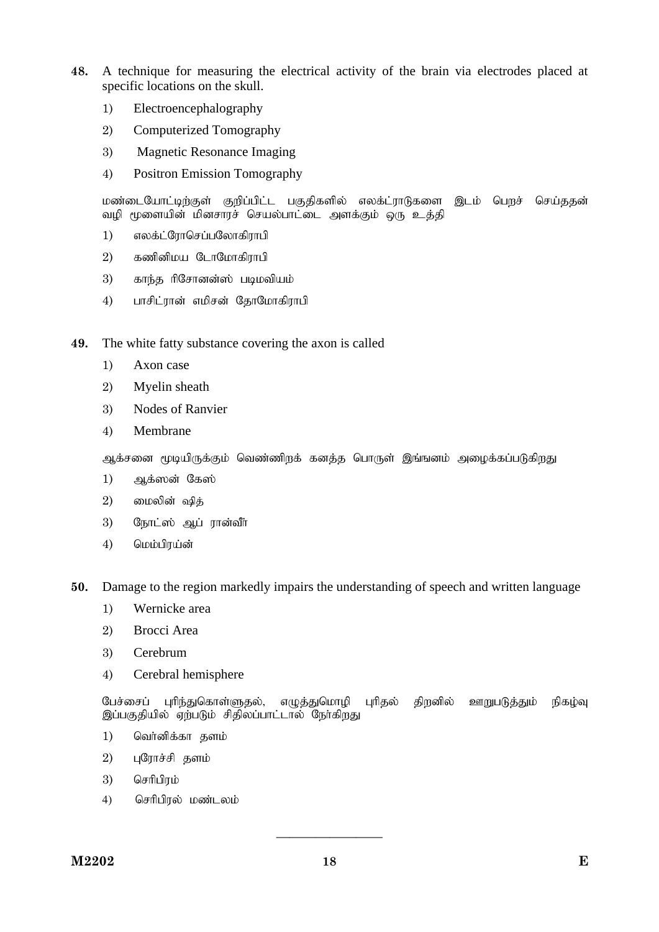- **48.** A technique for measuring the electrical activity of the brain via electrodes placed at specific locations on the skull.
	- 1) Electroencephalography
	- 2) Computerized Tomography
	- 3) Magnetic Resonance Imaging
	- 4) Positron Emission Tomography

மண்டையோட்டிற்குள் குறிப்பிட்ட பகுதிகளில் எலக்ட்ராடுகளை இடம் பெறச் செய்ததன் வழி மூளையின் மினசாரச் செயல்பாட்டை அளக்கும் ஒரு உத்தி

- 1) எலக்ட்ரோசெப்பலோகிராபி
- $2)$  கணினிமய டோமோகிராபி
- 3) காந்த ரிசோனன்ஸ் படிமவியம்
- 4) பாசிட்ரான் எமிசன் தோமோகிராபி

**49.** The white fatty substance covering the axon is called

- 1) Axon case
- 2) Myelin sheath
- 3) Nodes of Ranvier
- 4) Membrane

ஆக்சனை மூடியிருக்கும் வெண்ணிறக் கனத்த பொருள் இங்ஙனம் அழைக்கப்படுகிறது.

- 1) அக்ஸன் கேஸ்
- $2)$  மைலின் ஷித்
- 3) நோட்ஸ் ஆப் ரான்வீர்
- 4) மெம்பிரய்ன்
- **50.** Damage to the region markedly impairs the understanding of speech and written language
	- 1) Wernicke area
	- 2) Brocci Area
	- 3) Cerebrum
	- 4) Cerebral hemisphere

பேச்சைப் புரிந்துகொள்ளுதல், எழுத்துமொழி புரிதல் திறனில் ஊறுபடுத்தும் நிகழ்வு இப்பகுதியில் ஏற்படும் சிதிலப்பாட்டால் நேர்கிறது

- 1) வெர்னிக்கா தளம்
- $2)$  புரோச்சி தளம்
- 3) செரிபிரம்
- 4) செரிபிரல் மண்டலம்

————————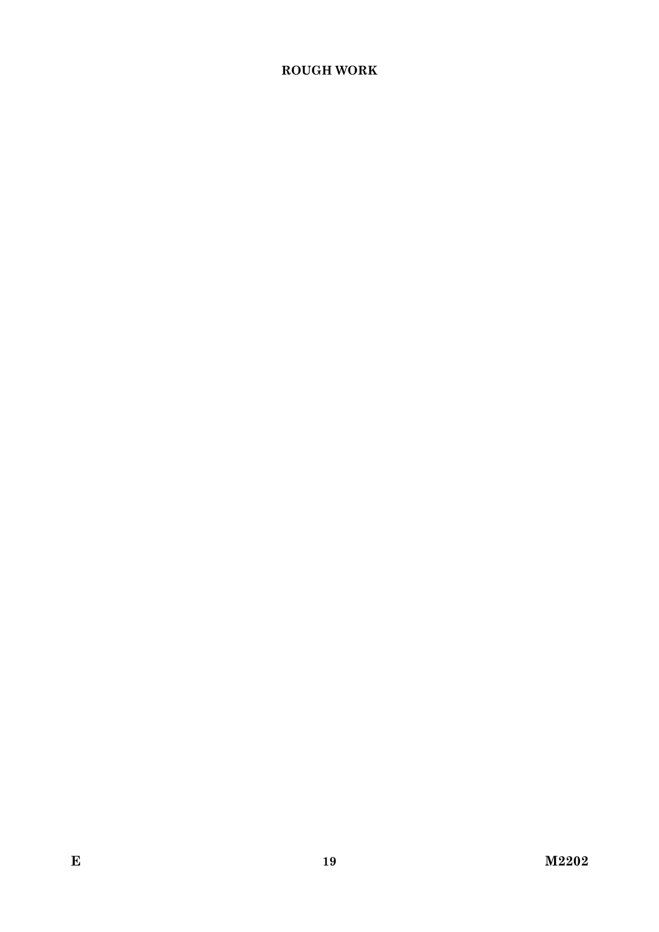# **ROUGH WORK**